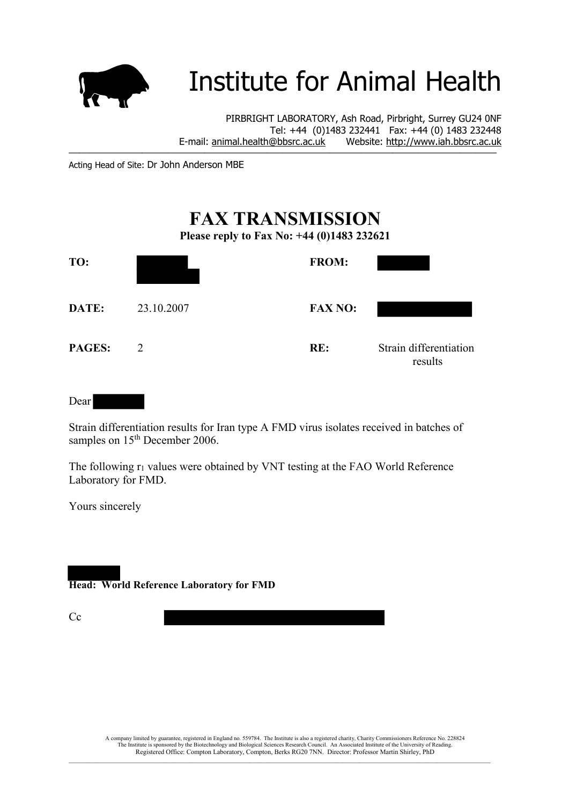

## Institute for Animal Health

PIRBRIGHT LABORATORY, Ash Road, Pirbright, Surrey GU24 0NF Tel: +44 (0)1483 232441 Fax: +44 (0) 1483 232448 E-mail: [animal.health@bbsrc.ac.uk](mailto:animal.health@bbsrc.ac.uk) Website: http://www.iah.bbsrc.ac.uk

Acting Head of Site: Dr John Anderson MBE

## **FAX TRANSMISSION**

**Please reply to Fax No: +44 (0)1483 232621** 

| TO:    |                | <b>FROM:</b>   |                                   |
|--------|----------------|----------------|-----------------------------------|
| DATE:  | 23.10.2007     | <b>FAX NO:</b> |                                   |
| PAGES: | $\overline{2}$ | RE:            | Strain differentiation<br>results |

Dear

Strain differentiation results for Iran type A FMD virus isolates received in batches of samples on 15<sup>th</sup> December 2006.

The following r<sub>1</sub> values were obtained by VNT testing at the FAO World Reference Laboratory for FMD.

Yours sincerely

**Head: World Reference Laboratory for FMD**

Cc

A company limited by guarantee, registered in England no. 559784. The Institute is also a registered charity, Charity Commissioners Reference No. 228824 The Institute is sponsored by the Biotechnology and Biological Sciences Research Council. An Associated Institute of the University of Reading.<br>Registered Office: Compton Laboratory, Compton, Berks RG20 7NN. Director: Prof  $\_$  , and the state of the state of the state of the state of the state of the state of the state of the state of the state of the state of the state of the state of the state of the state of the state of the state of the